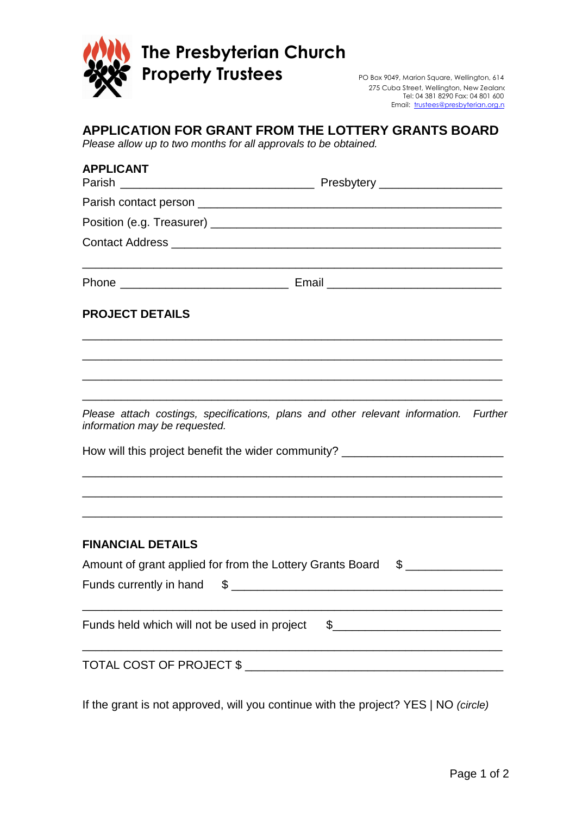

275 Cuba Street, Wellington, New Zealand Tel: 04 381 8290 Fax: 04 801 6001 Email: trustees@presbyterian.org.n

## **APPLICATION FOR GRANT FROM THE LOTTERY GRANTS BOARD**

*Please allow up to two months for all approvals to be obtained.*

| <b>APPLICANT</b>                                          |                                                                                                                                                                                                                                                                                                                                               |  |
|-----------------------------------------------------------|-----------------------------------------------------------------------------------------------------------------------------------------------------------------------------------------------------------------------------------------------------------------------------------------------------------------------------------------------|--|
|                                                           |                                                                                                                                                                                                                                                                                                                                               |  |
|                                                           |                                                                                                                                                                                                                                                                                                                                               |  |
|                                                           |                                                                                                                                                                                                                                                                                                                                               |  |
|                                                           |                                                                                                                                                                                                                                                                                                                                               |  |
| <b>PROJECT DETAILS</b>                                    |                                                                                                                                                                                                                                                                                                                                               |  |
|                                                           | <u> 1989 - Johann Stoff, amerikansk politiker (d. 1989)</u>                                                                                                                                                                                                                                                                                   |  |
| information may be requested.                             | Please attach costings, specifications, plans and other relevant information. Further                                                                                                                                                                                                                                                         |  |
|                                                           | How will this project benefit the wider community? _____________________________<br>,我们也不能在这里的人,我们也不能在这里的人,我们也不能在这里的人,我们也不能在这里的人,我们也不能在这里的人,我们也不能在这里的人,我们也不能在这里的人,我们也                                                                                                                                                                         |  |
|                                                           |                                                                                                                                                                                                                                                                                                                                               |  |
| <b>FINANCIAL DETAILS</b>                                  |                                                                                                                                                                                                                                                                                                                                               |  |
| Amount of grant applied for from the Lottery Grants Board | $\begin{picture}(20,20) \put(0,0){\line(1,0){100}} \put(15,0){\line(1,0){100}} \put(15,0){\line(1,0){100}} \put(15,0){\line(1,0){100}} \put(15,0){\line(1,0){100}} \put(15,0){\line(1,0){100}} \put(15,0){\line(1,0){100}} \put(15,0){\line(1,0){100}} \put(15,0){\line(1,0){100}} \put(15,0){\line(1,0){100}} \put(15,0){\line(1,0){100}} \$ |  |
| Funds currently in hand                                   |                                                                                                                                                                                                                                                                                                                                               |  |
| Funds held which will not be used in project              | \$                                                                                                                                                                                                                                                                                                                                            |  |
| <b>TOTAL COST OF PROJECT \$</b>                           | <u> 2000 - Jan James James Jan James James James James James James James James James James James James James Jam</u>                                                                                                                                                                                                                          |  |

If the grant is not approved, will you continue with the project? YES | NO *(circle)*